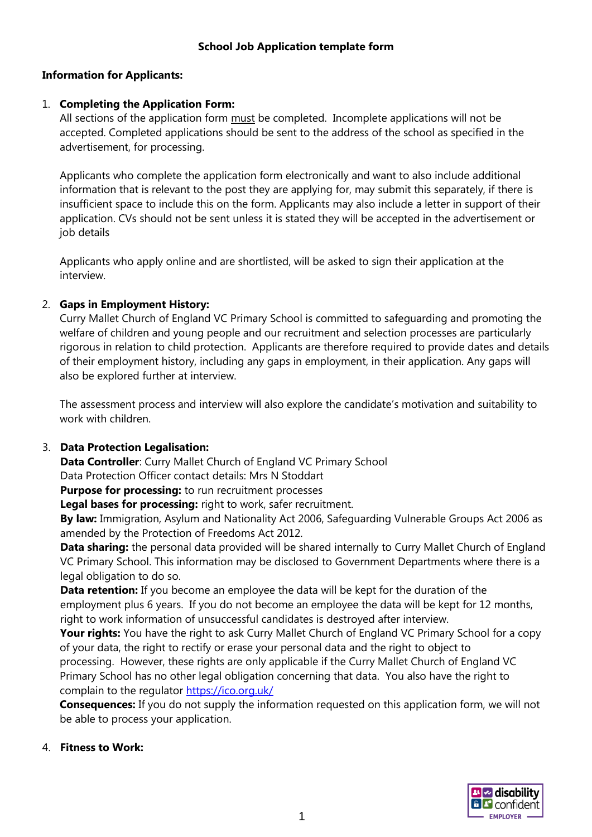### **Information for Applicants:**

### 1. **Completing the Application Form:**

All sections of the application form must be completed. Incomplete applications will not be accepted. Completed applications should be sent to the address of the school as specified in the advertisement, for processing.

Applicants who complete the application form electronically and want to also include additional information that is relevant to the post they are applying for, may submit this separately, if there is insufficient space to include this on the form. Applicants may also include a letter in support of their application. CVs should not be sent unless it is stated they will be accepted in the advertisement or job details

Applicants who apply online and are shortlisted, will be asked to sign their application at the interview.

### 2. **Gaps in Employment History:**

Curry Mallet Church of England VC Primary School is committed to safeguarding and promoting the welfare of children and young people and our recruitment and selection processes are particularly rigorous in relation to child protection. Applicants are therefore required to provide dates and details of their employment history, including any gaps in employment, in their application. Any gaps will also be explored further at interview.

The assessment process and interview will also explore the candidate's motivation and suitability to work with children.

#### 3. **Data Protection Legalisation:**

**Data Controller**: Curry Mallet Church of England VC Primary School Data Protection Officer contact details: Mrs N Stoddart

**Purpose for processing:** to run recruitment processes

**Legal bases for processing:** right to work, safer recruitment.

**By law:** Immigration, Asylum and Nationality Act 2006, Safeguarding Vulnerable Groups Act 2006 as amended by the Protection of Freedoms Act 2012.

**Data sharing:** the personal data provided will be shared internally to Curry Mallet Church of England VC Primary School. This information may be disclosed to Government Departments where there is a legal obligation to do so.

**Data retention:** If you become an employee the data will be kept for the duration of the employment plus 6 years. If you do not become an employee the data will be kept for 12 months, right to work information of unsuccessful candidates is destroyed after interview.

Your rights: You have the right to ask Curry Mallet Church of England VC Primary School for a copy of your data, the right to rectify or erase your personal data and the right to object to processing. However, these rights are only applicable if the Curry Mallet Church of England VC Primary School has no other legal obligation concerning that data. You also have the right to complain to the regulator<https://ico.org.uk/>

**Consequences:** If you do not supply the information requested on this application form, we will not be able to process your application.

#### 4. **Fitness to Work:**

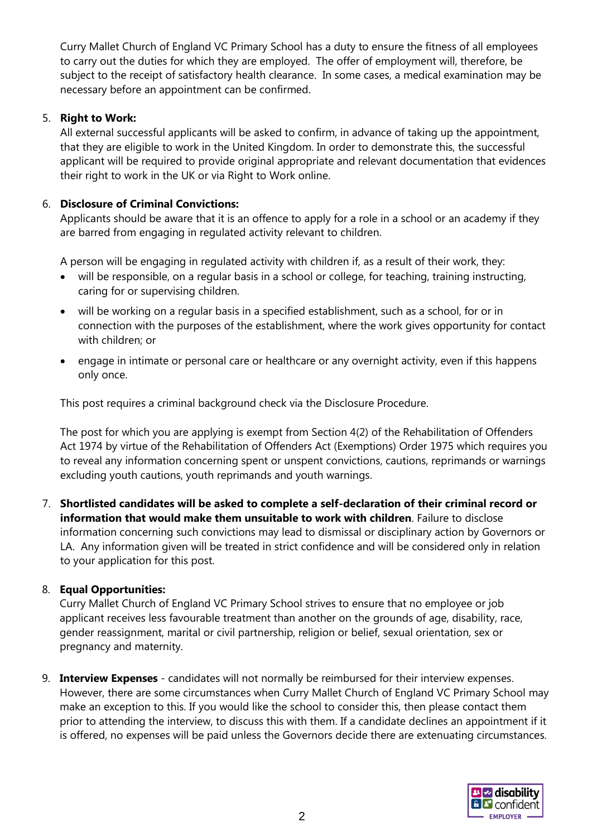Curry Mallet Church of England VC Primary School has a duty to ensure the fitness of all employees to carry out the duties for which they are employed. The offer of employment will, therefore, be subject to the receipt of satisfactory health clearance. In some cases, a medical examination may be necessary before an appointment can be confirmed.

#### 5. **Right to Work:**

All external successful applicants will be asked to confirm, in advance of taking up the appointment, that they are eligible to work in the United Kingdom. In order to demonstrate this, the successful applicant will be required to provide original appropriate and relevant documentation that evidences their right to work in the UK or via Right to Work online.

### 6. **Disclosure of Criminal Convictions:**

Applicants should be aware that it is an offence to apply for a role in a school or an academy if they are barred from engaging in regulated activity relevant to children.

A person will be engaging in regulated activity with children if, as a result of their work, they:

- will be responsible, on a regular basis in a school or college, for teaching, training instructing, caring for or supervising children.
- will be working on a regular basis in a specified establishment, such as a school, for or in connection with the purposes of the establishment, where the work gives opportunity for contact with children; or
- engage in intimate or personal care or healthcare or any overnight activity, even if this happens only once.

This post requires a criminal background check via the Disclosure Procedure.

The post for which you are applying is exempt from Section 4(2) of the Rehabilitation of Offenders Act 1974 by virtue of the Rehabilitation of Offenders Act (Exemptions) Order 1975 which requires you to reveal any information concerning spent or unspent convictions, cautions, reprimands or warnings excluding youth cautions, youth reprimands and youth warnings.

7. **Shortlisted candidates will be asked to complete a self-declaration of their criminal record or information that would make them unsuitable to work with children**. Failure to disclose information concerning such convictions may lead to dismissal or disciplinary action by Governors or LA. Any information given will be treated in strict confidence and will be considered only in relation to your application for this post.

#### 8. **Equal Opportunities:**

Curry Mallet Church of England VC Primary School strives to ensure that no employee or job applicant receives less favourable treatment than another on the grounds of age, disability, race, gender reassignment, marital or civil partnership, religion or belief, sexual orientation, sex or pregnancy and maternity.

9. **Interview Expenses** - candidates will not normally be reimbursed for their interview expenses. However, there are some circumstances when Curry Mallet Church of England VC Primary School may make an exception to this. If you would like the school to consider this, then please contact them prior to attending the interview, to discuss this with them. If a candidate declines an appointment if it is offered, no expenses will be paid unless the Governors decide there are extenuating circumstances.

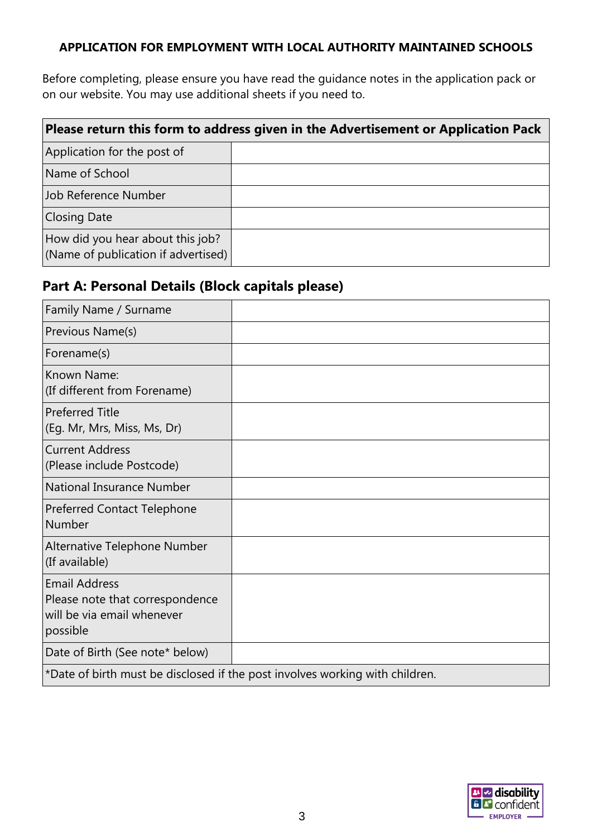### **APPLICATION FOR EMPLOYMENT WITH LOCAL AUTHORITY MAINTAINED SCHOOLS**

Before completing, please ensure you have read the guidance notes in the application pack or on our website. You may use additional sheets if you need to.

| Please return this form to address given in the Advertisement or Application Pack |  |  |  |  |  |  |
|-----------------------------------------------------------------------------------|--|--|--|--|--|--|
| Application for the post of                                                       |  |  |  |  |  |  |
| Name of School                                                                    |  |  |  |  |  |  |
| Job Reference Number                                                              |  |  |  |  |  |  |
| <b>Closing Date</b>                                                               |  |  |  |  |  |  |
| How did you hear about this job?<br>(Name of publication if advertised)           |  |  |  |  |  |  |

## **Part A: Personal Details (Block capitals please)**

| Family Name / Surname                                                                             |                                                                              |
|---------------------------------------------------------------------------------------------------|------------------------------------------------------------------------------|
| Previous Name(s)                                                                                  |                                                                              |
| Forename(s)                                                                                       |                                                                              |
| Known Name:<br>(If different from Forename)                                                       |                                                                              |
| <b>Preferred Title</b><br>(Eg. Mr, Mrs, Miss, Ms, Dr)                                             |                                                                              |
| <b>Current Address</b><br>(Please include Postcode)                                               |                                                                              |
| <b>National Insurance Number</b>                                                                  |                                                                              |
| <b>Preferred Contact Telephone</b><br>Number                                                      |                                                                              |
| Alternative Telephone Number<br>(If available)                                                    |                                                                              |
| <b>Email Address</b><br>Please note that correspondence<br>will be via email whenever<br>possible |                                                                              |
| Date of Birth (See note* below)                                                                   |                                                                              |
|                                                                                                   | *Date of birth must be disclosed if the post involves working with children. |

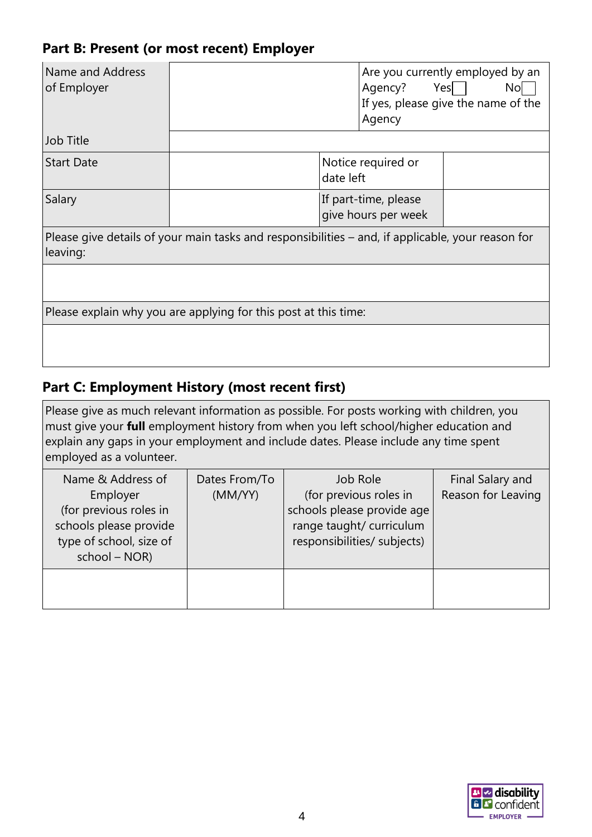## **Part B: Present (or most recent) Employer**

| Name and Address<br>of Employer |                                                                                                   |                                             | Agency?<br>Agency  | Are you currently employed by an<br>Yes   <br>No<br>If yes, please give the name of the |
|---------------------------------|---------------------------------------------------------------------------------------------------|---------------------------------------------|--------------------|-----------------------------------------------------------------------------------------|
| Job Title                       |                                                                                                   |                                             |                    |                                                                                         |
| <b>Start Date</b>               |                                                                                                   | date left                                   | Notice required or |                                                                                         |
| Salary                          |                                                                                                   | If part-time, please<br>give hours per week |                    |                                                                                         |
| leaving:                        | Please give details of your main tasks and responsibilities – and, if applicable, your reason for |                                             |                    |                                                                                         |
|                                 |                                                                                                   |                                             |                    |                                                                                         |
|                                 | Please explain why you are applying for this post at this time:                                   |                                             |                    |                                                                                         |
|                                 |                                                                                                   |                                             |                    |                                                                                         |

## **Part C: Employment History (most recent first)**

Please give as much relevant information as possible. For posts working with children, you must give your **full** employment history from when you left school/higher education and explain any gaps in your employment and include dates. Please include any time spent employed as a volunteer.

| Name & Address of<br>Employer<br>(for previous roles in<br>schools please provide<br>type of school, size of<br>school - NOR) | Dates From/To<br>(MM/YY) | Job Role<br>(for previous roles in<br>schools please provide age<br>range taught/ curriculum<br>responsibilities/ subjects) | Final Salary and<br>Reason for Leaving |
|-------------------------------------------------------------------------------------------------------------------------------|--------------------------|-----------------------------------------------------------------------------------------------------------------------------|----------------------------------------|
|                                                                                                                               |                          |                                                                                                                             |                                        |

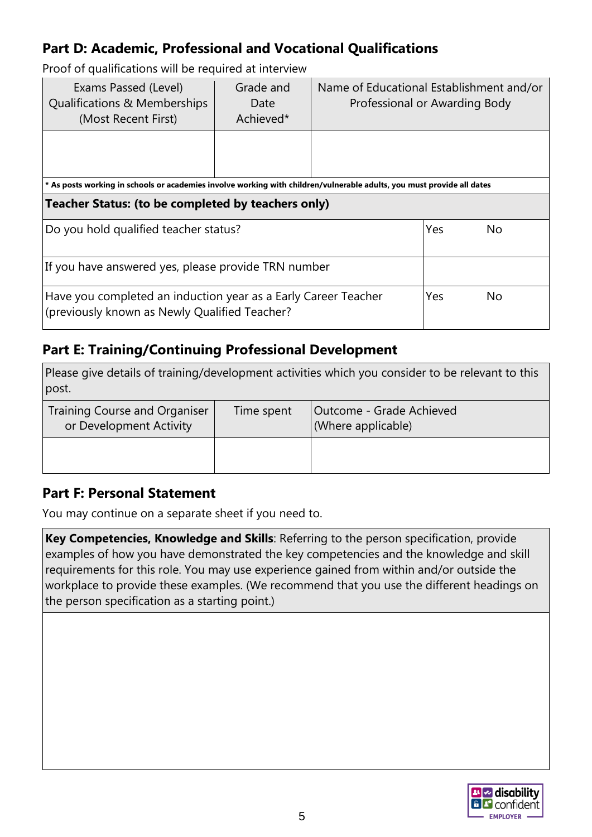# **Part D: Academic, Professional and Vocational Qualifications**

Proof of qualifications will be required at interview

| Exams Passed (Level)<br>Qualifications & Memberships<br>(Most Recent First)                                            | Grade and<br>Date<br>Achieved* | Name of Educational Establishment and/or<br>Professional or Awarding Body |  |  |  |  |
|------------------------------------------------------------------------------------------------------------------------|--------------------------------|---------------------------------------------------------------------------|--|--|--|--|
|                                                                                                                        |                                |                                                                           |  |  |  |  |
| * As posts working in schools or academies involve working with children/vulnerable adults, you must provide all dates |                                |                                                                           |  |  |  |  |
| Teacher Status: (to be completed by teachers only)                                                                     |                                |                                                                           |  |  |  |  |
| Do you hold qualified teacher status?                                                                                  | Yes                            | No                                                                        |  |  |  |  |
| If you have answered yes, please provide TRN number                                                                    |                                |                                                                           |  |  |  |  |
| Have you completed an induction year as a Early Career Teacher<br>(previously known as Newly Qualified Teacher?        | Yes                            | No                                                                        |  |  |  |  |

## **Part E: Training/Continuing Professional Development**

Please give details of training/development activities which you consider to be relevant to this post.

| Training Course and Organiser<br>or Development Activity | Time spent | Outcome - Grade Achieved<br>(Where applicable) |
|----------------------------------------------------------|------------|------------------------------------------------|
|                                                          |            |                                                |

## **Part F: Personal Statement**

You may continue on a separate sheet if you need to.

**Key Competencies, Knowledge and Skills**: Referring to the person specification, provide examples of how you have demonstrated the key competencies and the knowledge and skill requirements for this role. You may use experience gained from within and/or outside the workplace to provide these examples. (We recommend that you use the different headings on the person specification as a starting point.)

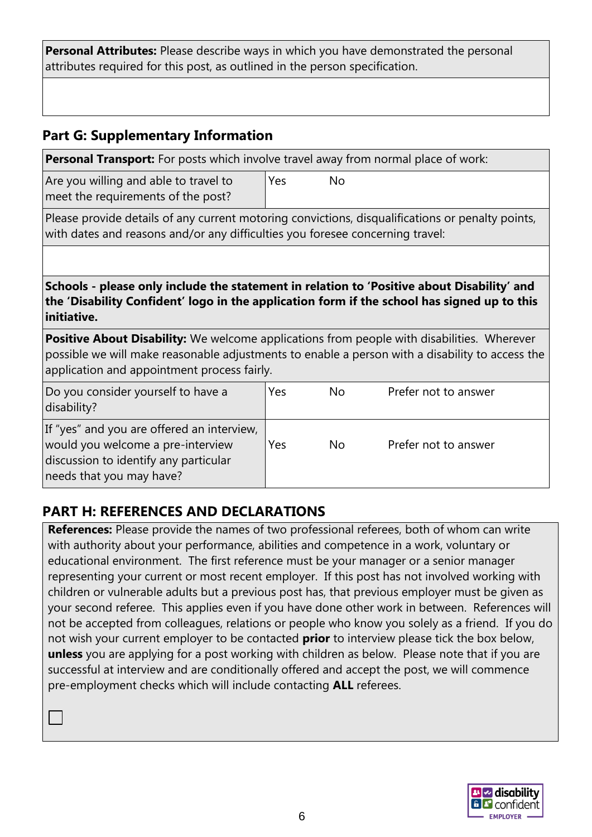**Personal Attributes:** Please describe ways in which you have demonstrated the personal attributes required for this post, as outlined in the person specification.

## **Part G: Supplementary Information**

**Personal Transport:** For posts which involve travel away from normal place of work:

Are you willing and able to travel to meet the requirements of the post?

Yes No

Please provide details of any current motoring convictions, disqualifications or penalty points, with dates and reasons and/or any difficulties you foresee concerning travel:

**Schools - please only include the statement in relation to 'Positive about Disability' and the 'Disability Confident' logo in the application form if the school has signed up to this initiative.**

**Positive About Disability:** We welcome applications from people with disabilities. Wherever possible we will make reasonable adjustments to enable a person with a disability to access the application and appointment process fairly.

| Do you consider yourself to have a<br>disability?                                                                                                    | Yes | No.       | Prefer not to answer |
|------------------------------------------------------------------------------------------------------------------------------------------------------|-----|-----------|----------------------|
| If "yes" and you are offered an interview,<br>would you welcome a pre-interview<br>discussion to identify any particular<br>needs that you may have? | Yes | <b>No</b> | Prefer not to answer |

# **PART H: REFERENCES AND DECLARATIONS**

**References:** Please provide the names of two professional referees, both of whom can write with authority about your performance, abilities and competence in a work, voluntary or educational environment. The first reference must be your manager or a senior manager representing your current or most recent employer. If this post has not involved working with children or vulnerable adults but a previous post has, that previous employer must be given as your second referee. This applies even if you have done other work in between. References will not be accepted from colleagues, relations or people who know you solely as a friend. If you do not wish your current employer to be contacted **prior** to interview please tick the box below, **unless** you are applying for a post working with children as below. Please note that if you are successful at interview and are conditionally offered and accept the post, we will commence pre-employment checks which will include contacting **ALL** referees.

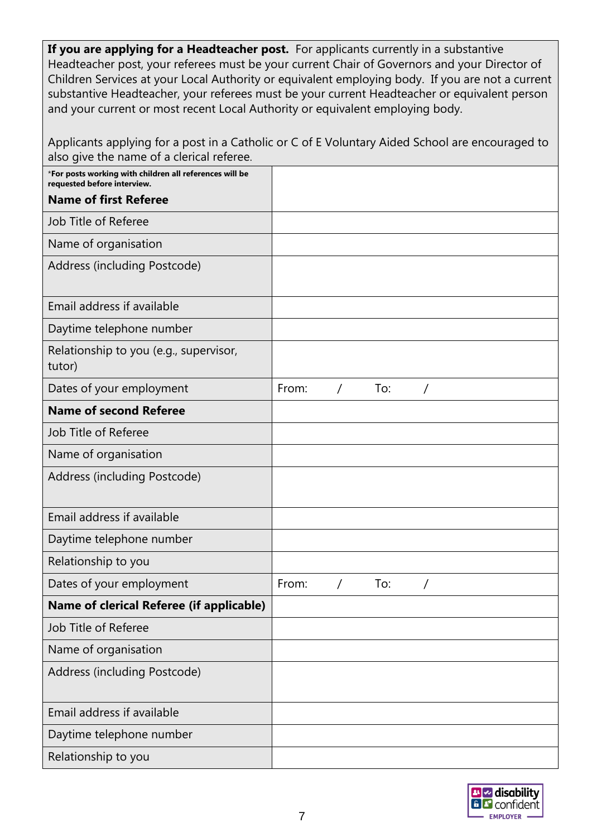If you are applying for a Headteacher post. For applicants currently in a substantive Headteacher post, your referees must be your current Chair of Governors and your Director of Children Services at your Local Authority or equivalent employing body. If you are not a current substantive Headteacher, your referees must be your current Headteacher or equivalent person and your current or most recent Local Authority or equivalent employing body.

| Applicants applying for a post in a Catholic or C of E Voluntary Aided School are encouraged to<br>also give the name of a clerical referee. |       |          |     |          |  |
|----------------------------------------------------------------------------------------------------------------------------------------------|-------|----------|-----|----------|--|
| *For posts working with children all references will be<br>requested before interview.                                                       |       |          |     |          |  |
| <b>Name of first Referee</b>                                                                                                                 |       |          |     |          |  |
| Job Title of Referee                                                                                                                         |       |          |     |          |  |
| Name of organisation                                                                                                                         |       |          |     |          |  |
| Address (including Postcode)                                                                                                                 |       |          |     |          |  |
| Email address if available                                                                                                                   |       |          |     |          |  |
| Daytime telephone number                                                                                                                     |       |          |     |          |  |
| Relationship to you (e.g., supervisor,<br>tutor)                                                                                             |       |          |     |          |  |
| Dates of your employment                                                                                                                     | From: | $\prime$ | To: | $\prime$ |  |
| <b>Name of second Referee</b>                                                                                                                |       |          |     |          |  |
| Job Title of Referee                                                                                                                         |       |          |     |          |  |
| Name of organisation                                                                                                                         |       |          |     |          |  |
| Address (including Postcode)                                                                                                                 |       |          |     |          |  |
| Email address if available                                                                                                                   |       |          |     |          |  |
| Daytime telephone number                                                                                                                     |       |          |     |          |  |
| Relationship to you                                                                                                                          |       |          |     |          |  |
| Dates of your employment                                                                                                                     | From: |          | To: |          |  |
| Name of clerical Referee (if applicable)                                                                                                     |       |          |     |          |  |
| Job Title of Referee                                                                                                                         |       |          |     |          |  |
| Name of organisation                                                                                                                         |       |          |     |          |  |
| Address (including Postcode)                                                                                                                 |       |          |     |          |  |
| Email address if available                                                                                                                   |       |          |     |          |  |
| Daytime telephone number                                                                                                                     |       |          |     |          |  |
| Relationship to you                                                                                                                          |       |          |     |          |  |

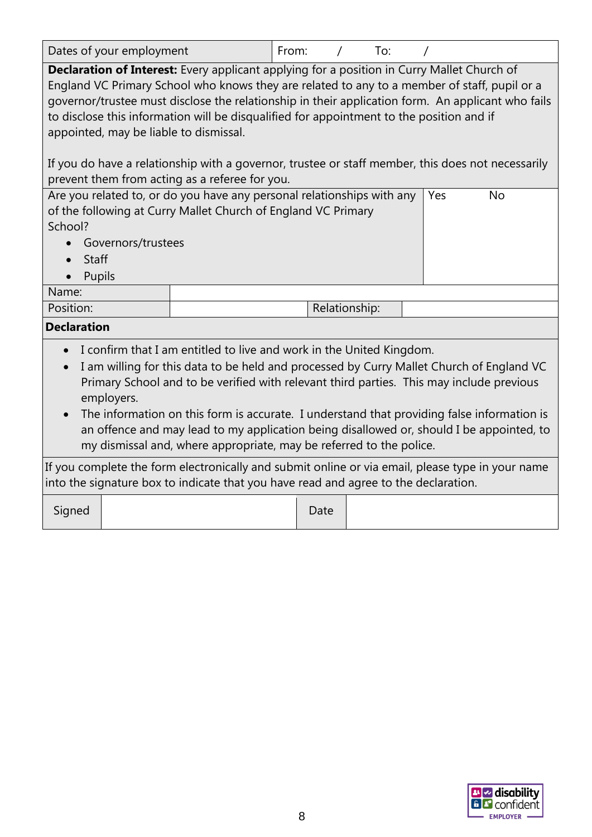| Dates of your employment                                                                                                                                                                                                                                                                                                                                                                                                                                                                                                                                                                                                                        | From: |               |     |  |  |  |  |
|-------------------------------------------------------------------------------------------------------------------------------------------------------------------------------------------------------------------------------------------------------------------------------------------------------------------------------------------------------------------------------------------------------------------------------------------------------------------------------------------------------------------------------------------------------------------------------------------------------------------------------------------------|-------|---------------|-----|--|--|--|--|
|                                                                                                                                                                                                                                                                                                                                                                                                                                                                                                                                                                                                                                                 |       | $\prime$      | To: |  |  |  |  |
| <b>Declaration of Interest:</b> Every applicant applying for a position in Curry Mallet Church of<br>England VC Primary School who knows they are related to any to a member of staff, pupil or a<br>governor/trustee must disclose the relationship in their application form. An applicant who fails<br>to disclose this information will be disqualified for appointment to the position and if<br>appointed, may be liable to dismissal.                                                                                                                                                                                                    |       |               |     |  |  |  |  |
| If you do have a relationship with a governor, trustee or staff member, this does not necessarily<br>prevent them from acting as a referee for you.                                                                                                                                                                                                                                                                                                                                                                                                                                                                                             |       |               |     |  |  |  |  |
| Are you related to, or do you have any personal relationships with any<br>Yes<br><b>No</b><br>of the following at Curry Mallet Church of England VC Primary<br>School?<br>Governors/trustees<br>Staff                                                                                                                                                                                                                                                                                                                                                                                                                                           |       |               |     |  |  |  |  |
| Pupils<br>Name:                                                                                                                                                                                                                                                                                                                                                                                                                                                                                                                                                                                                                                 |       |               |     |  |  |  |  |
| Position:                                                                                                                                                                                                                                                                                                                                                                                                                                                                                                                                                                                                                                       |       | Relationship: |     |  |  |  |  |
| <b>Declaration</b>                                                                                                                                                                                                                                                                                                                                                                                                                                                                                                                                                                                                                              |       |               |     |  |  |  |  |
| I confirm that I am entitled to live and work in the United Kingdom.<br>I am willing for this data to be held and processed by Curry Mallet Church of England VC<br>Primary School and to be verified with relevant third parties. This may include previous<br>employers.<br>The information on this form is accurate. I understand that providing false information is<br>an offence and may lead to my application being disallowed or, should I be appointed, to<br>my dismissal and, where appropriate, may be referred to the police.<br>If you complete the form electronically and submit online or via email, please type in your name |       |               |     |  |  |  |  |

into the signature box to indicate that you have read and agree to the declaration.

Signed | Date

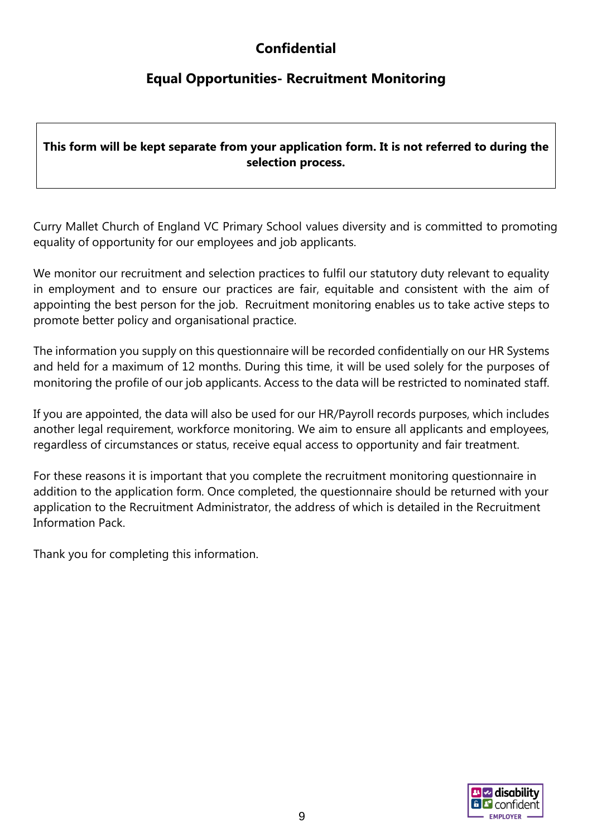# **Confidential**

# **Equal Opportunities- Recruitment Monitoring**

## **This form will be kept separate from your application form. It is not referred to during the selection process.**

Curry Mallet Church of England VC Primary School values diversity and is committed to promoting equality of opportunity for our employees and job applicants.

We monitor our recruitment and selection practices to fulfil our statutory duty relevant to equality in employment and to ensure our practices are fair, equitable and consistent with the aim of appointing the best person for the job. Recruitment monitoring enables us to take active steps to promote better policy and organisational practice.

The information you supply on this questionnaire will be recorded confidentially on our HR Systems and held for a maximum of 12 months. During this time, it will be used solely for the purposes of monitoring the profile of our job applicants. Access to the data will be restricted to nominated staff.

If you are appointed, the data will also be used for our HR/Payroll records purposes, which includes another legal requirement, workforce monitoring. We aim to ensure all applicants and employees, regardless of circumstances or status, receive equal access to opportunity and fair treatment.

For these reasons it is important that you complete the recruitment monitoring questionnaire in addition to the application form. Once completed, the questionnaire should be returned with your application to the Recruitment Administrator, the address of which is detailed in the Recruitment Information Pack.

Thank you for completing this information.

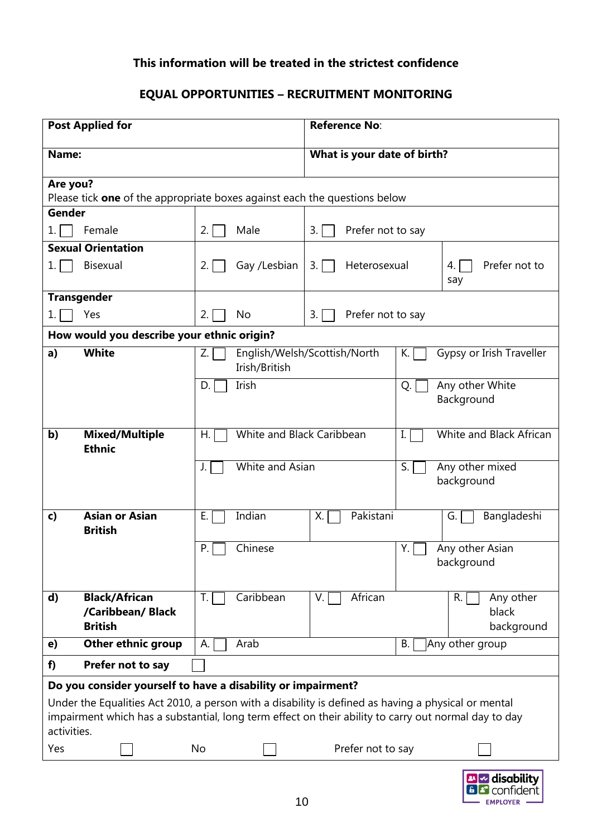### **This information will be treated in the strictest confidence**

## **EQUAL OPPORTUNITIES – RECRUITMENT MONITORING**

| <b>Post Applied for</b>                                                                                                                                                                                                                                                                    |                                 | Reference No:                |                                     |                                               |  |  |
|--------------------------------------------------------------------------------------------------------------------------------------------------------------------------------------------------------------------------------------------------------------------------------------------|---------------------------------|------------------------------|-------------------------------------|-----------------------------------------------|--|--|
| Name:                                                                                                                                                                                                                                                                                      | What is your date of birth?     |                              |                                     |                                               |  |  |
| Are you?<br>Please tick <b>one</b> of the appropriate boxes against each the questions below                                                                                                                                                                                               |                                 |                              |                                     |                                               |  |  |
| Gender                                                                                                                                                                                                                                                                                     |                                 |                              |                                     |                                               |  |  |
| Female<br>1. I                                                                                                                                                                                                                                                                             | Male<br>2.1                     | Prefer not to say<br>3.1     |                                     |                                               |  |  |
| <b>Sexual Orientation</b>                                                                                                                                                                                                                                                                  |                                 |                              |                                     |                                               |  |  |
| <b>Bisexual</b><br>1.1                                                                                                                                                                                                                                                                     | Gay /Lesbian<br>2.1             | Heterosexual<br>3.           |                                     | Prefer not to<br>4.<br>say                    |  |  |
| <b>Transgender</b>                                                                                                                                                                                                                                                                         |                                 |                              |                                     |                                               |  |  |
| Yes<br>1.1                                                                                                                                                                                                                                                                                 | 2.1<br>No                       | Prefer not to say<br>3.1     |                                     |                                               |  |  |
| How would you describe your ethnic origin?                                                                                                                                                                                                                                                 |                                 |                              |                                     |                                               |  |  |
| <b>White</b><br>a)                                                                                                                                                                                                                                                                         | Z.<br>Irish/British             | English/Welsh/Scottish/North | К.                                  | Gypsy or Irish Traveller                      |  |  |
|                                                                                                                                                                                                                                                                                            | Irish<br>D.                     |                              | Any other White<br>Q.<br>Background |                                               |  |  |
| <b>Mixed/Multiple</b><br>b)<br><b>Ethnic</b>                                                                                                                                                                                                                                               | White and Black Caribbean<br>Η. |                              | I.                                  | White and Black African                       |  |  |
|                                                                                                                                                                                                                                                                                            | White and Asian<br>J.           |                              | S.<br>Any other mixed<br>background |                                               |  |  |
| <b>Asian or Asian</b><br>c)<br><b>British</b>                                                                                                                                                                                                                                              | Indian<br>Е.                    | Pakistani<br>Х.              |                                     | Bangladeshi<br>G.                             |  |  |
|                                                                                                                                                                                                                                                                                            | Chinese<br>P.                   |                              | Y.                                  | Any other Asian<br>background                 |  |  |
| <b>Black/African</b><br>d)<br>/Caribbean/ Black<br><b>British</b>                                                                                                                                                                                                                          | Caribbean<br>T.                 | African<br>$V_{\cdot}$       |                                     | Any other<br>R.<br>black<br>background        |  |  |
| <b>Other ethnic group</b><br>e)                                                                                                                                                                                                                                                            | А.<br>Arab                      |                              | <b>B.</b>                           | Any other group                               |  |  |
| Prefer not to say<br>f)                                                                                                                                                                                                                                                                    |                                 |                              |                                     |                                               |  |  |
| Do you consider yourself to have a disability or impairment?<br>Under the Equalities Act 2010, a person with a disability is defined as having a physical or mental<br>impairment which has a substantial, long term effect on their ability to carry out normal day to day<br>activities. |                                 |                              |                                     |                                               |  |  |
| Yes                                                                                                                                                                                                                                                                                        | No                              | Prefer not to say            |                                     |                                               |  |  |
|                                                                                                                                                                                                                                                                                            |                                 |                              |                                     | <b>B</b> Z disability<br><b>B C</b> confident |  |  |

EMPLOYER